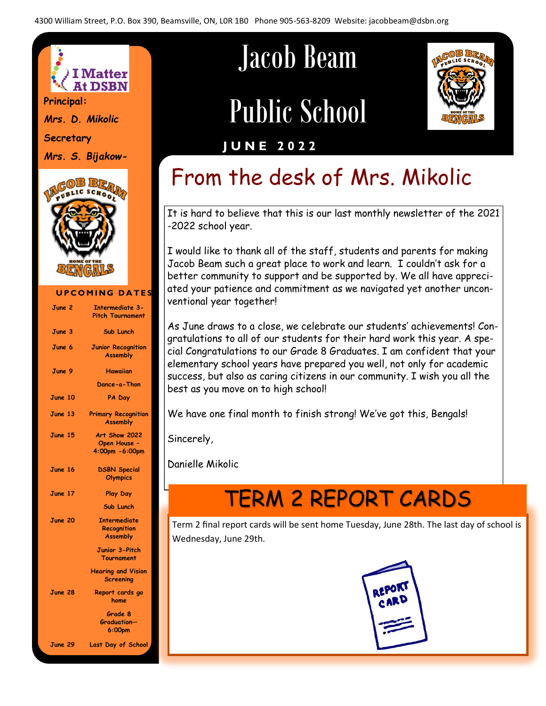

*Mrs. D. Mikolic* **Secretary**

*Mrs. S. Bijakow-*



#### **UPCOMING DATES June 2 Intermediate 3- Pitch Tournament June 3 Sub Lunch June 6 Junior Recognition Assembly June 9 Hawaiian Dance-a-Thon June 10 PA Day June 13 Primary Recognition Assembly June 15 Art Show 2022 Open House – 4:00pm -6:00pm June 16 DSBN Special Olympics June 17 Play Day Sub Lunch June 20 Intermediate Recognition Assembly Junior 3-Pitch Tournament Hearing and Vision Screening June 28 Report cards go home Grade 8 Graduation— 6:00pm June 29 Last Day of School**

# Jacob Beam

# Public School



#### **J U N E 2 0 2 2**

# From the desk of Mrs. Mikolic

It is hard to believe that this is our last monthly newsletter of the 2021 -2022 school year.

I would like to thank all of the staff, students and parents for making Jacob Beam such a great place to work and learn. I couldn't ask for a better community to support and be supported by. We all have appreciated your patience and commitment as we navigated yet another unconventional year together!

As June draws to a close, we celebrate our students' achievements! Congratulations to all of our students for their hard work this year. A special Congratulations to our Grade 8 Graduates. I am confident that your elementary school years have prepared you well, not only for academic success, but also as caring citizens in our community. I wish you all the best as you move on to high school!

We have one final month to finish strong! We've got this, Bengals!

Sincerely,

Danielle Mikolic

# TERM 2 REPORT CARDS

Term 2 final report cards will be sent home Tuesday, June 28th. The last day of school is Wednesday, June 29th.

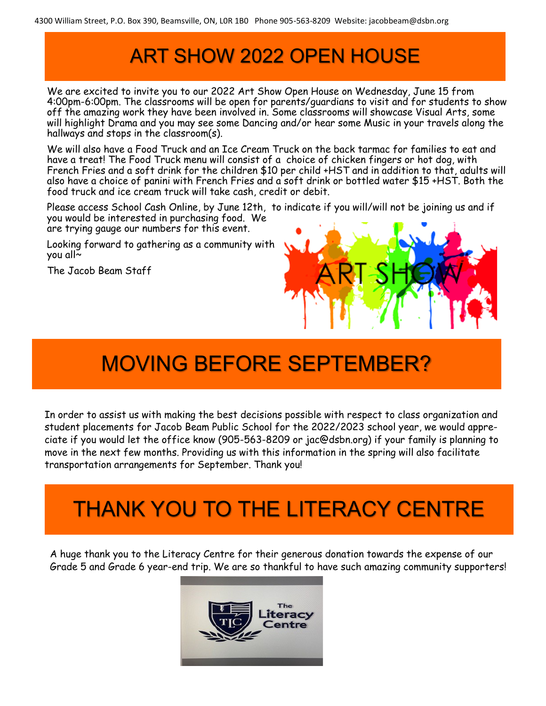### ART SHOW 2022 OPEN HOUSE

We are excited to invite you to our 2022 Art Show Open House on Wednesday, June 15 from 4:00pm-6:00pm. The classrooms will be open for parents/guardians to visit and for students to show off the amazing work they have been involved in. Some classrooms will showcase Visual Arts, some will highlight Drama and you may see some Dancing and/or hear some Music in your travels along the hallways and stops in the classroom(s).

We will also have a Food Truck and an Ice Cream Truck on the back tarmac for families to eat and have a treat! The Food Truck menu will consist of a choice of chicken fingers or hot dog, with French Fries and a soft drink for the children \$10 per child +HST and in addition to that, adults will also have a choice of panini with French Fries and a soft drink or bottled water \$15 +HST. Both the food truck and ice cream truck will take cash, credit or debit.

Please access School Cash Online, by June 12th, to indicate if you will/will not be joining us and if you would be interested in purchasing food. We

are trying gauge our numbers for this event.

Looking forward to gathering as a community with you all~

The Jacob Beam Staff



# MOVING BEFORE SEPTEMBER?

In order to assist us with making the best decisions possible with respect to class organization and student placements for Jacob Beam Public School for the 2022/2023 school year, we would appreciate if you would let the office know (905-563-8209 or jac@dsbn.org) if your family is planning to move in the next few months. Providing us with this information in the spring will also facilitate transportation arrangements for September. Thank you!

## THANK YOU TO THE LITERACY CENTRE

A huge thank you to the Literacy Centre for their generous donation towards the expense of our Grade 5 and Grade 6 year-end trip. We are so thankful to have such amazing community supporters!

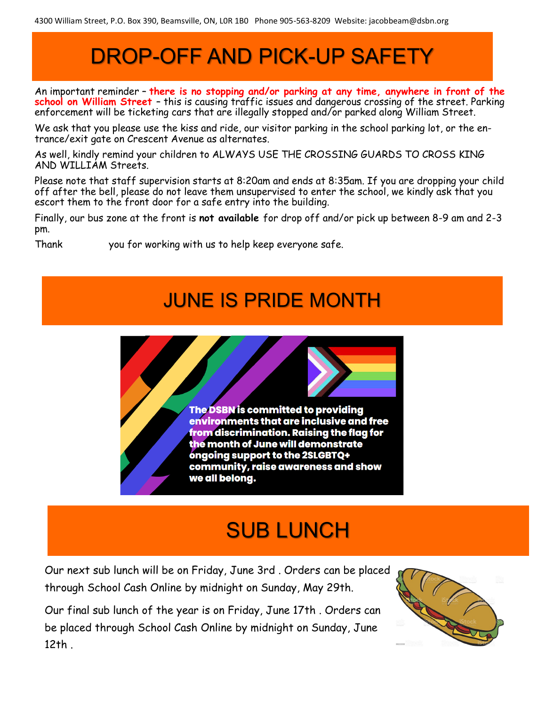# DROP-OFF AND PICK-UP SAFETY

An important reminder – **there is no stopping and/or parking at any time, anywhere in front of the school on William Street** – this is causing traffic issues and dangerous crossing of the street. Parking enforcement will be ticketing cars that are illegally stopped and/or parked along William Street.

We ask that you please use the kiss and ride, our visitor parking in the school parking lot, or the entrance/exit gate on Crescent Avenue as alternates.

As well, kindly remind your children to ALWAYS USE THE CROSSING GUARDS TO CROSS KING AND WILLIAM Streets.

Please note that staff supervision starts at 8:20am and ends at 8:35am. If you are dropping your child off after the bell, please do not leave them unsupervised to enter the school, we kindly ask that you escort them to the front door for a safe entry into the building.

Finally, our bus zone at the front is **not available** for drop off and/or pick up between 8-9 am and 2-3 pm.

Thank you for working with us to help keep everyone safe.

### JUNE IS PRIDE MONTH



### SUB LUNCH

Our next sub lunch will be on Friday, June 3rd . Orders can be placed through School Cash Online by midnight on Sunday, May 29th.

Our final sub lunch of the year is on Friday, June 17th . Orders can be placed through School Cash Online by midnight on Sunday, June 12th .

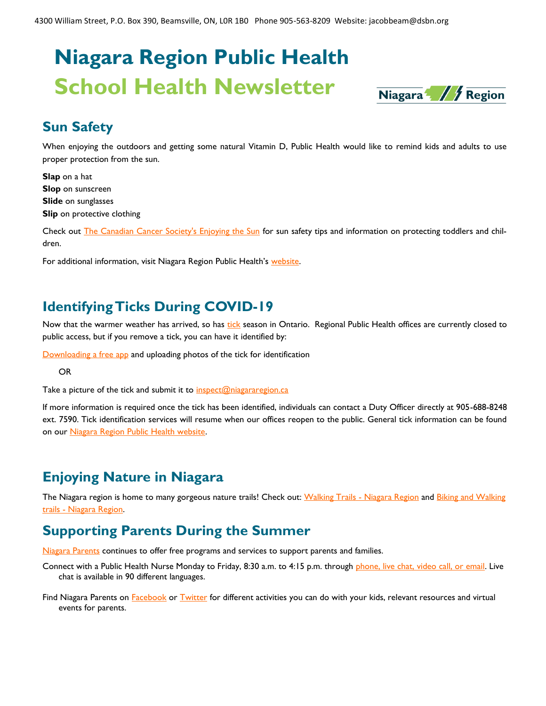# **Niagara Region Public Health School Health Newsletter**



#### **Sun Safety**

When enjoying the outdoors and getting some natural Vitamin D, Public Health would like to remind kids and adults to use proper protection from the sun.

**Slap** on a hat **Slop** on sunscreen **Slide** on sunglasses **Slip** on protective clothing

Check out **[The Canadian Cancer Society's Enjoying the Sun](https://cancer.ca/en/cancer-information/reduce-your-risk/be-sun-safe/enjoy-the-sun-safely)** for sun safety tips and information on protecting toddlers and children.

For additional information, visit Niagara Region Public Health's [website.](https://www.niagararegion.ca/living/health_wellness/sunsafety/default.aspx)

#### **Identifying Ticks During COVID-19**

Now that the warmer weather has arrived, so has [tick](https://www.niagararegion.ca/living/health_wellness/disease-prevent/ticks/default.aspx) season in Ontario. Regional Public Health offices are currently closed to public access, but if you remove a tick, you can have it identified by:

[Downloading a free app](https://physicians.createsend1.com/t/t-l-pzjyll-l-x/) and uploading photos of the tick for identification

OR

Take a picture of the tick and submit it to  $inspect@niagararegion.ca$ 

If more information is required once the tick has been identified, individuals can contact a Duty Officer directly at 905-688-8248 ext. 7590. Tick identification services will resume when our offices reopen to the public. General tick information can be found on our [Niagara Region Public Health website.](https://www.niagararegion.ca/living/health_wellness/disease-prevent/ticks/default.aspx)

#### **Enjoying Nature in Niagara**

The Niagara region is home to many gorgeous nature trails! Check out: [Walking Trails -](https://www.niagararegion.ca/exploring/trails.aspx) Niagara Region and Biking and Walking trails - [Niagara Region.](https://www.niagararegion.ca/exploring/cycle/default.aspx)

#### **Supporting Parents During the Summer**

[Niagara Parents](https://niagararegion.ca/parents) continues to offer free programs and services to support parents and families.

Connect with a Public Health Nurse Monday to Friday, 8:30 a.m. to 4:15 p.m. through [phone, live chat, video call, or email.](https://niagararegion.ca/parents/contact.aspx) Live chat is available in 90 different languages.

Find Niagara Parents on **[Facebook](https://www.facebook.com/niagaraparents/?form=MY01SV&OCID=MY01SV)** or [Twitter](https://twitter.com/NiagaraParents) for different activities you can do with your kids, relevant resources and virtual events for parents.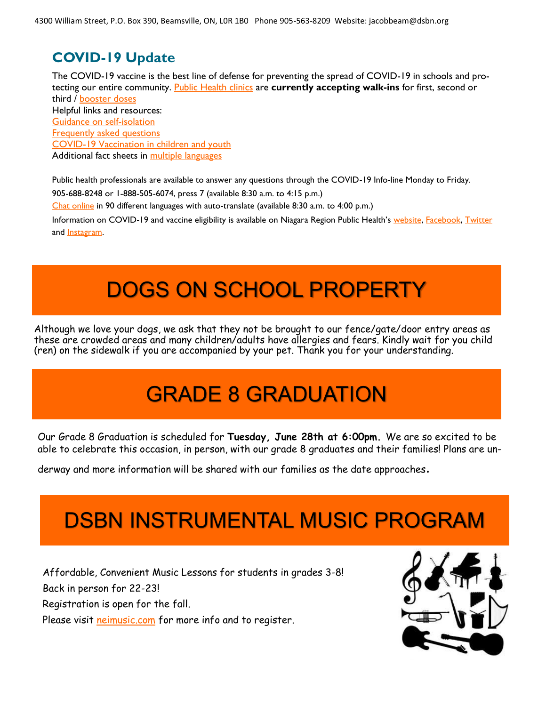#### **COVID-19 Update**

The COVID-19 vaccine is the best line of defense for preventing the spread of COVID-19 in schools and protecting our entire community. [Public Health clinics](https://www.niagararegion.ca/health/covid-19/vaccination/clinic-schedule.aspx) are **currently accepting walk-ins** for first, second or third / [booster doses](https://www.niagararegion.ca/health/covid-19/vaccination/appointment-booking.aspx) Helpful links and resources: [Guidance on self-isolation](https://www.niagararegion.ca/health/covid-19/self-isolation/school-child-care.aspx) [Frequently asked questions](https://www.niagararegion.ca/health/covid-19/vaccination/frequently-asked-questions.aspx) [COVID-19 Vaccination in children and youth](https://www.niagararegion.ca/health/covid-19/vaccination/youth.aspx) Additional fact sheets in [multiple languages](https://covid-19.ontario.ca/covid-19-vaccines-children-and-youth#community-resources)

Public health professionals are available to answer any questions through the COVID-19 Info-line Monday to Friday.

905-688-8248 or 1-888-505-6074, press 7 (available 8:30 a.m. to 4:15 p.m.)

[Chat online](https://vue.comm100.com/chatWindow.aspx?siteId=232657&planId=531) in 90 different languages with auto-translate (available 8:30 a.m. to 4:00 p.m.)

Information on COVID-19 and vaccine eligibility is available on Niagara Region Public Health's [website,](https://www.niagararegion.ca/health/covid-19/default.aspx?topic=1) [Facebook,](https://www.facebook.com/nrpublichealth) [Twitter](https://twitter.com/NRPublicHealth) and [Instagram.](https://www.instagram.com/nrpublichealth/)

### DOGS ON SCHOOL PROPERTY

Although we love your dogs, we ask that they not be brought to our fence/gate/door entry areas as these are crowded areas and many children/adults have allergies and fears. Kindly wait for you child (ren) on the sidewalk if you are accompanied by your pet. Thank you for your understanding.

## GRADE 8 GRADUATION

Our Grade 8 Graduation is scheduled for **Tuesday, June 28th at 6:00pm.** We are so excited to be able to celebrate this occasion, in person, with our grade 8 graduates and their families! Plans are un-

derway and more information will be shared with our families as the date approaches.

### DSBN INSTRUMENTAL MUSIC PROGRAM

Affordable, Convenient Music Lessons for students in grades 3-8! Back in person for 22-23! Registration is open for the fall. Please visit [neimusic.com](http://neimusic.com) for more info and to register.

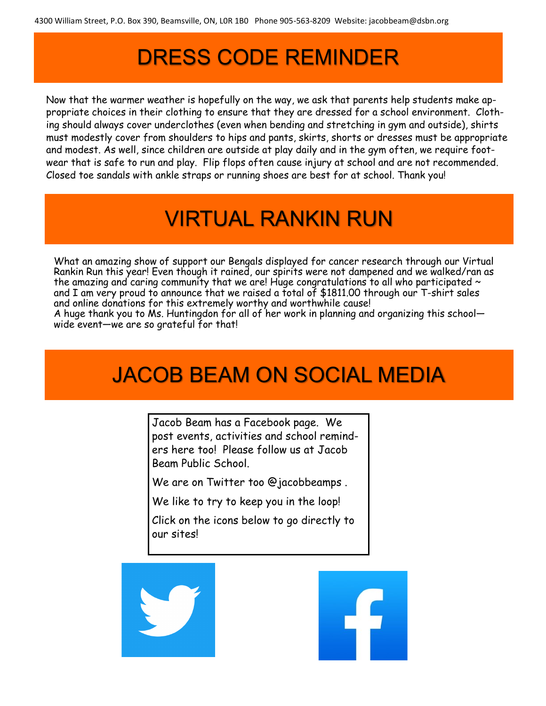# DRESS CODE REMINDER

Now that the warmer weather is hopefully on the way, we ask that parents help students make appropriate choices in their clothing to ensure that they are dressed for a school environment. Clothing should always cover underclothes (even when bending and stretching in gym and outside), shirts must modestly cover from shoulders to hips and pants, skirts, shorts or dresses must be appropriate and modest. As well, since children are outside at play daily and in the gym often, we require footwear that is safe to run and play. Flip flops often cause injury at school and are not recommended. Closed toe sandals with ankle straps or running shoes are best for at school. Thank you!

# VIRTUAL RANKIN RUN

What an amazing show of support our Bengals displayed for cancer research through our Virtual Rankin Run this year! Even though it rained, our spirits were not dampened and we walked/ran as the amazing and caring community that we are! Huge congratulations to all who participated  $\sim$ and I am very proud to announce that we raised a total of \$1811.00 through our T-shirt sales and online donations for this extremely worthy and worthwhile cause!

A huge thank you to Ms. Huntingdon for all of her work in planning and organizing this school wide event—we are so grateful for that!

### JACOB BEAM ON SOCIAL MEDIA

Jacob Beam has a Facebook page. We post events, activities and school reminders here too! Please follow us at Jacob Beam Public School.

We are on Twitter too @jacobbeamps .

We like to try to keep you in the loop!

Click on the icons below to go directly to our sites!